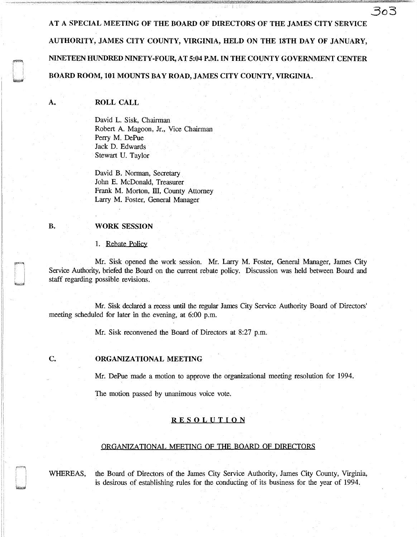AT A SPECIAL MEETING OF THE BOARD OF DIRECTORS OF THE JAMES CITY SERVICE AUTHORITY, JAMES CITY COUNTY, VIRGINIA, HELD ON THE 18TH DAY OF JANUARY, NINETEEN HUNDRED NINETY-FOUR, AT 5:04 P.M. IN THE COUNTY GOVERNMENT CENTER BOARD ROOM, 101 MOUNTS BAY ROAD, JAMES CITY COUNTY, VIRGINIA.

# ROLL CALL

A.

B.

David L. Sisk, Chairman Robert A. Magoon, Jr., Vice Chairman Perry M. DePue Jack D. Edwards Stewart U. Taylor

David B. Norman, Secretary John E. McDonald, Treasurer Frank M. Morton, III, County Attorney Larry M. Foster, General Manager

## WORK SESSION

Ii 'I

#### 1. Rebate Policy

Mr. Sisk opened the work session. Mr. Larry M. Foster, General Manager, James City Service Authority, briefed the Board on the current rebate policy. Discussion was held between Board and staff regarding possible revisions.

Mr. Sisk declared a recess until the regular James City Service Authority Board of Directors' meeting scheduled for later in the evening, at 6:00 p.m.

Mr. Sisk reconvened the Board of Directors at 8:27 p.m.

# c. ORGANIZATIONAL MEETING

Mr. DePue made a motion to approve the organizational meeting resolution for 1994.

The motion passed by unanimous voice vote.

# **RESOLUTION**

#### ORGANIZATIONAL MEETING OF THE BOARD OF DIRECTORS

WHEREAS, the Board of Directors of the James City Service Authority, James City County, Virginia, is desirous of establishing rules for the conducting of its business for the year of 1994.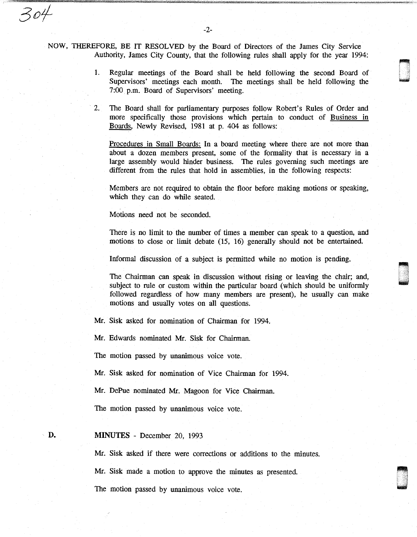NOW, THEREFORE, BE IT RESOLVED by the Board of Directors of the James City Service Authority, James City County, that the following rules shall apply for the year 1994:

- 1. Regular meetings of the Board shall be held following the second Board of Supervisors' meetings each month. The meetings shall be held following the 7:00 p.m. Board of Supervisors' meeting.
- 2. The Board shall for parliamentary purposes follow Robert's Rules of Order and more specifically those provisions which pertain to conduct of Business in Boards, Newly Revised, 1981 at p. 404 as follows:

Procedures in Small Boards: In a board meeting where there are not more than about a dozen members present, some of the formality that is necessary in a large assembly would hinder business. The rules governing such meetings are different from the rules that hold in assemblies, in the following respects:

Members are not required to obtain the floor before making motions or speaking, which they can do while seated.

Motions need not be seconded.

There is no limit to the number of times a member can speak to a question, and motions to close or limit debate (15, 16) generally should not be entertained.

Informal discussion of a subject is permitted while no motion is pending.

The Chairman can speak in discussion without rising or leaving the chair; and, subject to rule or custom within the particular board (which should be uniformly followed regardless of how many members are present), he usually can make motions and usually votes on all questions.

Mr. Sisk asked for nomination of Chairman for 1994.

Mr. Edwards nominated Mr. Sisk for Chairman.

The motion passed by unanimous voice vote.

Mr. Sisk asked for nomination of Vice Chairman for 1994.

Mr. DePue nominated Mr. Magoon for Vice Chairman.

The motion passed by unanimous voice vote.

### **MINUTES** - December 20, 1993

**D.** 

304

Mr. Sisk asked if there were corrections or additions to the minutes.

Mr. Sisk made a motion to approve the minutes as presented.

The motion passed by unanimous voice vote.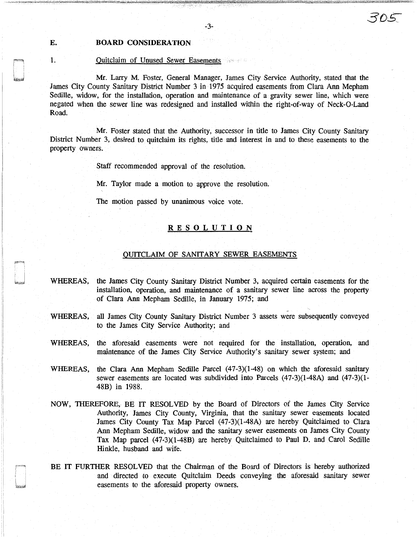# E. BOARD CONSIDERATION

# 1. Quitclaim of Unused Sewer Easements

Mr. Larry M. Foster, General Manager, James City Service Authority, stated that the James City County Sanitary District Number 3 in 1975 acquired easements from Clara Ann Mepham Sedille, widow, for the installation, operation and maintenance of a gravity sewer line, which were negated when the sewer line was redesigned and installed within the right-of-way of Neck-0-Land Road.

Mr. Foster stated that the Authority, successor in title to James City County Sanitary District Number 3, desired to quitclaim its rights, title and interest in and to these easements to the property owners.

Staff recommended approval of the resolution.

Mr. Taylor made a motion to approve the resolution.

The motion passed by unanimous voice vote.

# **RESOLUTION**

# QUITCLAIM OF SANITARY SEWER EASEMENTS

- WHEREAS, the James City County Sanitary District Number 3, acquired certain easements for the installation, operation, and maintenance of a sanitary sewer line across the property of Clara Ann Mepham Sedille, in January 1975; and
- WHEREAS, all James City County Sanitary District Number 3 assets were subsequently conveyed to the James City Service Authority; and
- WHEREAS, the aforesaid easements were not required for the installation, operation, and maintenance of the James City Service Authority's sanitary sewer system; and
- WHEREAS, the Clara Ann Mepham Sedille Parcel (47-3)(1-48) on which the aforesaid sanitary sewer easements are located was subdivided into Parcels (47-3)(1-48A) and (47-3)(1- 48B) in 1988.
- NOW, THEREFORE, BE IT RESOLVED by the Board of Directors of the James City Service Authority, James City County, Virginia, that the sanitary sewer easements located James City County Tax Map Parcel (47-3)(1-48A) are hereby Quitclaimed to Clara Ann Mepham Sedille, widow and the sanitary sewer easements on James City County Tax Map parcel (47-3)(1-48B) are hereby Quitclaimed to Paul D. and Carol Sedille Hinkle, husband and wife.
- BE IT FURTHER RESOLVED that the Chairman of the Board of Directors is hereby authorized and directed to execute Quitclaim Deeds conveying the aforesaid sanitary sewer easements to the aforesaid property owners.

*3.0£*